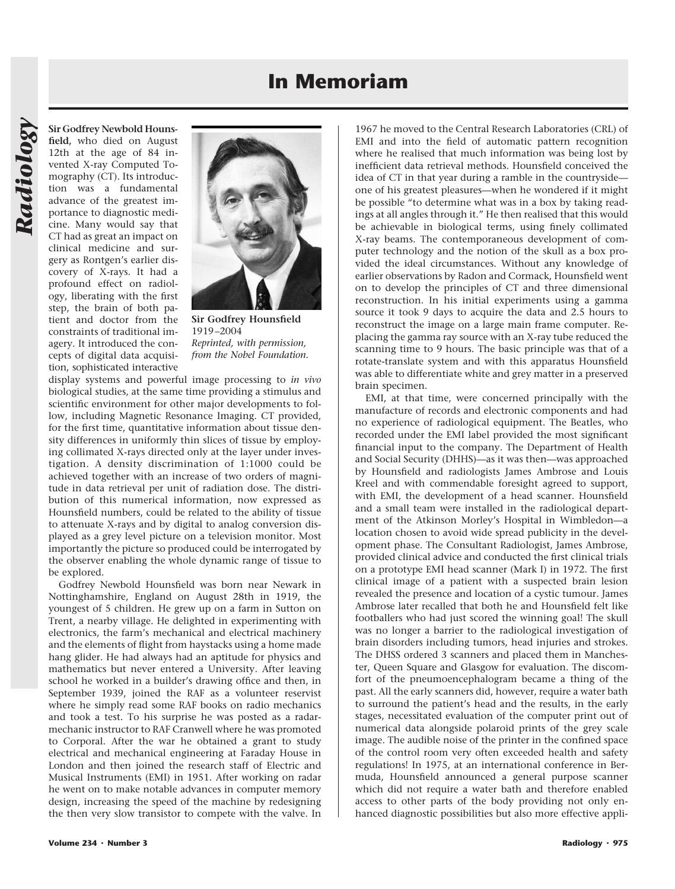## **In Memoriam**

**Sir Godfrey Newbold Hounsfield,** who died on August 12th at the age of 84 invented X-ray Computed Tomography (CT). Its introduction was a fundamental advance of the greatest importance to diagnostic medicine. Many would say that CT had as great an impact on clinical medicine and surgery as Rontgen's earlier discovery of X-rays. It had a profound effect on radiology, liberating with the first step, the brain of both patient and doctor from the constraints of traditional imagery. It introduced the concepts of digital data acquisition, sophisticated interactive



**Sir Godfrey Hounsfield** 1919–2004 *Reprinted, with permission, from the Nobel Foundation.*

display systems and powerful image processing to *in vivo* biological studies, at the same time providing a stimulus and scientific environment for other major developments to follow, including Magnetic Resonance Imaging. CT provided, for the first time, quantitative information about tissue density differences in uniformly thin slices of tissue by employing collimated X-rays directed only at the layer under investigation. A density discrimination of 1:1000 could be achieved together with an increase of two orders of magnitude in data retrieval per unit of radiation dose. The distribution of this numerical information, now expressed as Hounsfield numbers, could be related to the ability of tissue to attenuate X-rays and by digital to analog conversion displayed as a grey level picture on a television monitor. Most importantly the picture so produced could be interrogated by the observer enabling the whole dynamic range of tissue to be explored.

Godfrey Newbold Hounsfield was born near Newark in Nottinghamshire, England on August 28th in 1919, the youngest of 5 children. He grew up on a farm in Sutton on Trent, a nearby village. He delighted in experimenting with electronics, the farm's mechanical and electrical machinery and the elements of flight from haystacks using a home made hang glider. He had always had an aptitude for physics and mathematics but never entered a University. After leaving school he worked in a builder's drawing office and then, in September 1939, joined the RAF as a volunteer reservist where he simply read some RAF books on radio mechanics and took a test. To his surprise he was posted as a radarmechanic instructor to RAF Cranwell where he was promoted to Corporal. After the war he obtained a grant to study electrical and mechanical engineering at Faraday House in London and then joined the research staff of Electric and Musical Instruments (EMI) in 1951. After working on radar he went on to make notable advances in computer memory design, increasing the speed of the machine by redesigning the then very slow transistor to compete with the valve. In

1967 he moved to the Central Research Laboratories (CRL) of EMI and into the field of automatic pattern recognition where he realised that much information was being lost by inefficient data retrieval methods. Hounsfield conceived the idea of CT in that year during a ramble in the countryside one of his greatest pleasures—when he wondered if it might be possible "to determine what was in a box by taking readings at all angles through it." He then realised that this would be achievable in biological terms, using finely collimated X-ray beams. The contemporaneous development of computer technology and the notion of the skull as a box provided the ideal circumstances. Without any knowledge of earlier observations by Radon and Cormack, Hounsfield went on to develop the principles of CT and three dimensional reconstruction. In his initial experiments using a gamma source it took 9 days to acquire the data and 2.5 hours to reconstruct the image on a large main frame computer. Replacing the gamma ray source with an X-ray tube reduced the scanning time to 9 hours. The basic principle was that of a rotate-translate system and with this apparatus Hounsfield was able to differentiate white and grey matter in a preserved brain specimen.

EMI, at that time, were concerned principally with the manufacture of records and electronic components and had no experience of radiological equipment. The Beatles, who recorded under the EMI label provided the most significant financial input to the company. The Department of Health and Social Security (DHHS)—as it was then—was approached by Hounsfield and radiologists James Ambrose and Louis Kreel and with commendable foresight agreed to support, with EMI, the development of a head scanner. Hounsfield and a small team were installed in the radiological department of the Atkinson Morley's Hospital in Wimbledon—a location chosen to avoid wide spread publicity in the development phase. The Consultant Radiologist, James Ambrose, provided clinical advice and conducted the first clinical trials on a prototype EMI head scanner (Mark I) in 1972. The first clinical image of a patient with a suspected brain lesion revealed the presence and location of a cystic tumour. James Ambrose later recalled that both he and Hounsfield felt like footballers who had just scored the winning goal! The skull was no longer a barrier to the radiological investigation of brain disorders including tumors, head injuries and strokes. The DHSS ordered 3 scanners and placed them in Manchester, Queen Square and Glasgow for evaluation. The discomfort of the pneumoencephalogram became a thing of the past. All the early scanners did, however, require a water bath to surround the patient's head and the results, in the early stages, necessitated evaluation of the computer print out of numerical data alongside polaroid prints of the grey scale image. The audible noise of the printer in the confined space of the control room very often exceeded health and safety regulations! In 1975, at an international conference in Bermuda, Hounsfield announced a general purpose scanner which did not require a water bath and therefore enabled access to other parts of the body providing not only enhanced diagnostic possibilities but also more effective appli